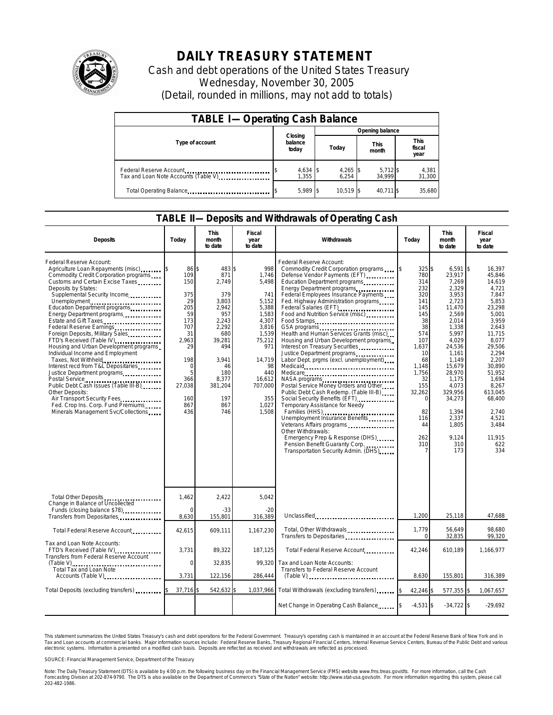

## **DAILY TREASURY STATEMENT**

Cash and debt operations of the United States Treasury Wednesday, November 30, 2005 (Detail, rounded in millions, may not add to totals)

| <b>TABLE I-Operating Cash Balance</b>                           |                             |                     |                      |                               |  |  |  |
|-----------------------------------------------------------------|-----------------------------|---------------------|----------------------|-------------------------------|--|--|--|
|                                                                 |                             | Opening balance     |                      |                               |  |  |  |
| Type of account                                                 | Closing<br>balance<br>today | Today               | <b>This</b><br>month | <b>This</b><br>fiscal<br>year |  |  |  |
| Federal Reserve Account<br>Tax and Loan Note Accounts (Table V) | $4,634$ \$<br>1.355         | $4,265$ \$<br>6.254 | $5,712$ \$<br>34,999 | 4,381<br>31,300               |  |  |  |
| Total Operating Balance                                         | $5,989$ \$                  | 10.519 \$           | 40.711 \$            | 35.680                        |  |  |  |

## **TABLE II—Deposits and Withdrawals of Operating Cash**

| <b>Deposits</b>                                                                                                                                                                                                                                                                                                                                                                                                                                                                                                                                                                                                                                                                                                                                            | Today                                                                                                                                       | <b>This</b><br>month<br>to date                                                                                                                                       | Fiscal<br>year<br>to date                                                                                                                                                | Withdrawals                                                                                                                                                                                                                                                                                                                                                                                                                                                                                                                                                                                                                                                                                                                                                                                                                                                                                       | Today                                                                                                                                                                                          | <b>This</b><br>month<br>to date                                                                                                                                                                                                                     | Fiscal<br>year<br>to date                                                                                                                                                                                                                                           |
|------------------------------------------------------------------------------------------------------------------------------------------------------------------------------------------------------------------------------------------------------------------------------------------------------------------------------------------------------------------------------------------------------------------------------------------------------------------------------------------------------------------------------------------------------------------------------------------------------------------------------------------------------------------------------------------------------------------------------------------------------------|---------------------------------------------------------------------------------------------------------------------------------------------|-----------------------------------------------------------------------------------------------------------------------------------------------------------------------|--------------------------------------------------------------------------------------------------------------------------------------------------------------------------|---------------------------------------------------------------------------------------------------------------------------------------------------------------------------------------------------------------------------------------------------------------------------------------------------------------------------------------------------------------------------------------------------------------------------------------------------------------------------------------------------------------------------------------------------------------------------------------------------------------------------------------------------------------------------------------------------------------------------------------------------------------------------------------------------------------------------------------------------------------------------------------------------|------------------------------------------------------------------------------------------------------------------------------------------------------------------------------------------------|-----------------------------------------------------------------------------------------------------------------------------------------------------------------------------------------------------------------------------------------------------|---------------------------------------------------------------------------------------------------------------------------------------------------------------------------------------------------------------------------------------------------------------------|
| Federal Reserve Account:<br>Agriculture Loan Repayments (misc)<br>Commodity Credit Corporation programs<br>Customs and Certain Excise Taxes<br>Deposits by States:<br>Supplemental Security Income<br>Unemployment<br>Education Department programs<br>Energy Department programs<br>Estate and Gift Taxes<br>Federal Reserve Earnings<br>Foreign Deposits, Military Sales<br>FTD's Received (Table IV)<br>Housing and Urban Development programs<br>Individual Income and Employment<br>Taxes, Not Withheld<br>Interest recd from T&L Depositaries<br>Justice Department programs<br>Public Debt Cash Issues (Table III-B)<br>Other Deposits:<br>Air Transport Security Fees<br>Fed. Crop Ins. Corp. Fund Premiums<br>Minerals Management Svc/Collections | 86<br>109<br>150<br>375<br>29<br>205<br>59<br>173<br>707<br>31<br>2,963<br>29<br>198<br>$\Omega$<br>5<br>366<br>27,038<br>160<br>867<br>436 | 483 \$<br>\$<br>871<br>2.749<br>379<br>3,803<br>2.942<br>957<br>2,243<br>2,292<br>680<br>39,281<br>494<br>3.941<br>46<br>180<br>8,377<br>381,204<br>197<br>867<br>746 | 998<br>1,746<br>5.498<br>741<br>5,152<br>5,388<br>1,583<br>4,307<br>3,816<br>1,539<br>75,212<br>971<br>14,719<br>98<br>440<br>16,612<br>707,000<br>355<br>1,027<br>1,508 | Federal Reserve Account:<br>Commodity Credit Corporation programs<br>Defense Vendor Payments (EFT)<br>Education Department programs<br>Energy Department programs.<br>Federal Employees Insurance Payments<br>Fed. Highway Administration programs<br>Food and Nutrition Service (misc)<br>Food Stamps<br>GSA programs<br>Health and Human Services Grants (misc)<br>Housing and Urban Development programs<br>Interest on Treasury Securities<br>Labor Dept. prgms (excl. unemployment)<br>Medicare<br>NASA programs<br>Postal Service Money Orders and Other<br>Public Debt Cash Redemp. (Table III-B)<br>Social Security Benefits (EFT)<br>Temporary Assistance for Needy<br>Families (HHS)<br>Unemployment Insurance Benefits<br>Veterans Affairs programs<br>Other Withdrawals:<br>Emergency Prep & Response (DHS)<br>Pension Benefit Guaranty Corp.<br>Transportation Security Admin. (DHS) | 325\$<br>780<br>314<br>232<br>320<br>141<br>145<br>145<br>38<br>38<br>574<br>107<br>1,637<br>10<br>68<br>1.148<br>1,756<br>32<br>155<br>32,262<br>$\mathbf 0$<br>82<br>116<br>44<br>262<br>310 | 6,591<br>23,917<br>7,269<br>2,329<br>3,953<br>2,723<br>11,470<br>2,569<br>2,014<br>1,338<br>5,997<br>4,029<br>24,536<br>1,161<br>1,149<br>15,679<br>28,970<br>1,175<br>4,073<br>329,956<br>34,273<br>1,394<br>2,337<br>1,805<br>9,124<br>310<br>173 | 16,397<br><b>S</b><br>45.846<br>14.619<br>4,721<br>7.847<br>5,853<br>23,298<br>5,001<br>3.959<br>2.643<br>11,715<br>8,077<br>29,506<br>2,294<br>2,207<br>30.890<br>51,952<br>1,694<br>8,267<br>613.045<br>68,400<br>2,740<br>4.521<br>3,484<br>11,915<br>622<br>334 |
| Total Other Deposits                                                                                                                                                                                                                                                                                                                                                                                                                                                                                                                                                                                                                                                                                                                                       | 1,462                                                                                                                                       | 2,422                                                                                                                                                                 | 5,042                                                                                                                                                                    |                                                                                                                                                                                                                                                                                                                                                                                                                                                                                                                                                                                                                                                                                                                                                                                                                                                                                                   |                                                                                                                                                                                                |                                                                                                                                                                                                                                                     |                                                                                                                                                                                                                                                                     |
| Change in Balance of Uncollected<br>Funds (closing balance \$78)<br>Transfers from Depositaries                                                                                                                                                                                                                                                                                                                                                                                                                                                                                                                                                                                                                                                            | $\Omega$<br>8,630                                                                                                                           | $-33$<br>155,801                                                                                                                                                      | $-20$<br>316,389                                                                                                                                                         | Unclassified                                                                                                                                                                                                                                                                                                                                                                                                                                                                                                                                                                                                                                                                                                                                                                                                                                                                                      | 1,200                                                                                                                                                                                          | 25,118                                                                                                                                                                                                                                              | 47,688                                                                                                                                                                                                                                                              |
| Total Federal Reserve Account                                                                                                                                                                                                                                                                                                                                                                                                                                                                                                                                                                                                                                                                                                                              | 42,615                                                                                                                                      | 609,111                                                                                                                                                               | 1,167,230                                                                                                                                                                | Total, Other Withdrawals<br>Transfers to Depositaries                                                                                                                                                                                                                                                                                                                                                                                                                                                                                                                                                                                                                                                                                                                                                                                                                                             | 1.779<br>$\Omega$                                                                                                                                                                              | 56,649<br>32,835                                                                                                                                                                                                                                    | 98.680<br>99,320                                                                                                                                                                                                                                                    |
| Tax and Loan Note Accounts:<br>FTD's Received (Table IV)<br>Transfers from Federal Reserve Account                                                                                                                                                                                                                                                                                                                                                                                                                                                                                                                                                                                                                                                         | 3,731                                                                                                                                       | 89,322                                                                                                                                                                | 187,125                                                                                                                                                                  | Total Federal Reserve Account                                                                                                                                                                                                                                                                                                                                                                                                                                                                                                                                                                                                                                                                                                                                                                                                                                                                     | 42,246                                                                                                                                                                                         | 610,189                                                                                                                                                                                                                                             | 1,166,977                                                                                                                                                                                                                                                           |
| Total Tax and Loan Note<br>Accounts (Table V)                                                                                                                                                                                                                                                                                                                                                                                                                                                                                                                                                                                                                                                                                                              | $\mathbf 0$<br>3,731                                                                                                                        | 32,835<br>122,156                                                                                                                                                     | 99.320<br>286,444                                                                                                                                                        | Tax and Loan Note Accounts:<br>Transfers to Federal Reserve Account<br>$(Table V)$                                                                                                                                                                                                                                                                                                                                                                                                                                                                                                                                                                                                                                                                                                                                                                                                                | 8,630                                                                                                                                                                                          | 155,801                                                                                                                                                                                                                                             | 316,389                                                                                                                                                                                                                                                             |
| Total Deposits (excluding transfers)                                                                                                                                                                                                                                                                                                                                                                                                                                                                                                                                                                                                                                                                                                                       | 37,716                                                                                                                                      | 542,632                                                                                                                                                               |                                                                                                                                                                          | 1,037,966 Total Withdrawals (excluding transfers)                                                                                                                                                                                                                                                                                                                                                                                                                                                                                                                                                                                                                                                                                                                                                                                                                                                 | 42,246                                                                                                                                                                                         | 577,355                                                                                                                                                                                                                                             | 1,067,657                                                                                                                                                                                                                                                           |
|                                                                                                                                                                                                                                                                                                                                                                                                                                                                                                                                                                                                                                                                                                                                                            |                                                                                                                                             |                                                                                                                                                                       |                                                                                                                                                                          | Net Change in Operating Cash Balance                                                                                                                                                                                                                                                                                                                                                                                                                                                                                                                                                                                                                                                                                                                                                                                                                                                              | $-4,531$ \$                                                                                                                                                                                    | $-34,722$ \$                                                                                                                                                                                                                                        | $-29,692$                                                                                                                                                                                                                                                           |

This statement summarizes the United States Treasury's cash and debt operations for the Federal Government. Treasury's operating cash is maintained in an account at the Federal Reserve Bank of New York and in<br>Tax and Loan narizes the United States Treasury's cash and debt operations for the Federal Government. Treasury's operating cash is maintained in an account at the Federal Reserve Bank of New York and in<br>ints at commercial banks. Major

SOURCE: Financial Management Service, Department of the Treasury

Note: The Daily Treasury Statement (DTS) is available by 4:00 p.m. the following business day on the Financial Management Service (FMS) website www.fms.treas.gov/dts. For more information, call the Cash<br>Forecasting Divisio 202-482-1986.